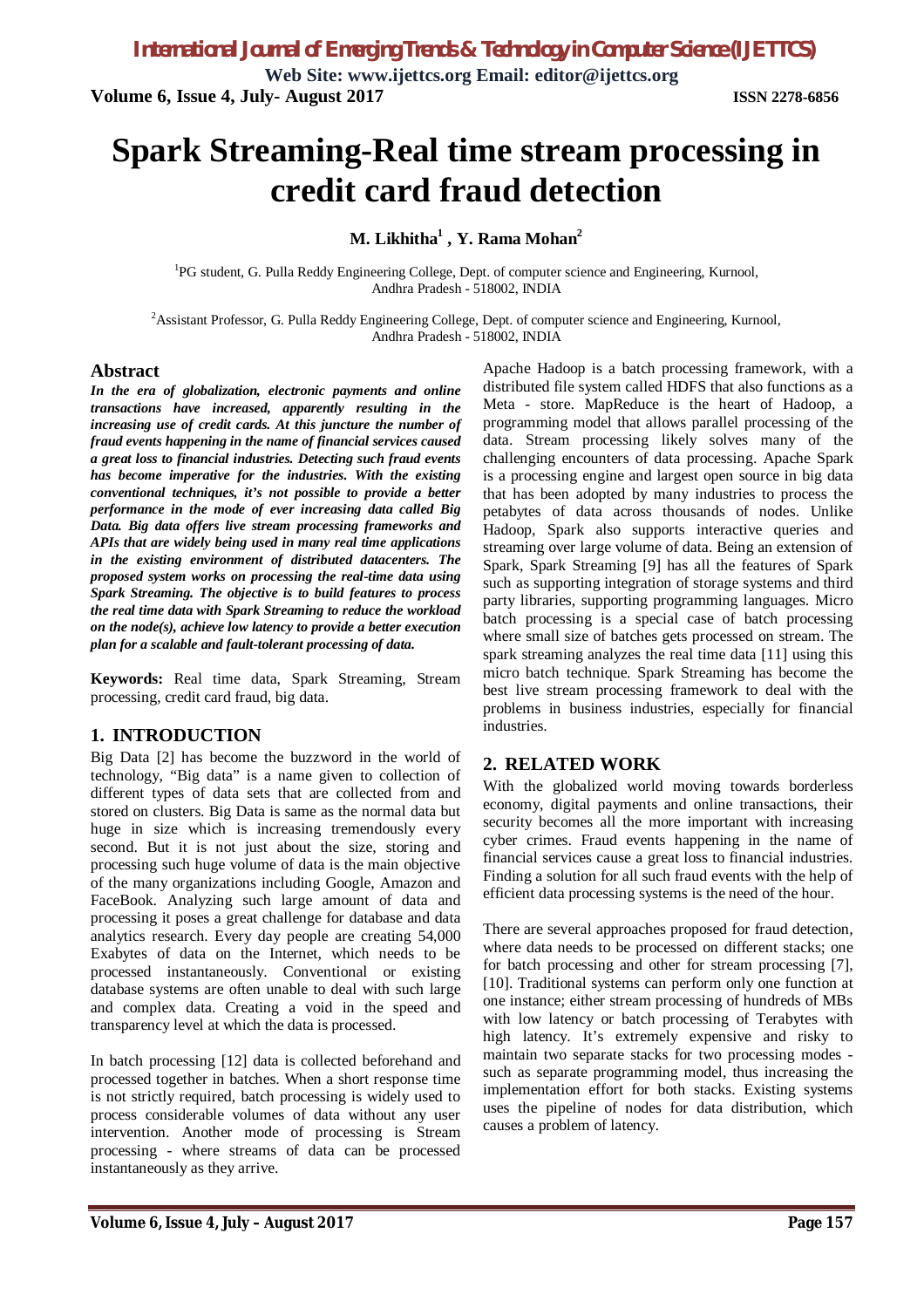**Web Site: www.ijettcs.org Email: editor@ijettcs.org Volume 6, Issue 4, July- August 2017 ISSN 2278-6856**

# **Spark Streaming-Real time stream processing in credit card fraud detection**

#### **M. Likhitha<sup>1</sup> , Y. Rama Mohan<sup>2</sup>**

<sup>1</sup>PG student, G. Pulla Reddy Engineering College, Dept. of computer science and Engineering, Kurnool, Andhra Pradesh - 518002, INDIA

<sup>2</sup>Assistant Professor, G. Pulla Reddy Engineering College, Dept. of computer science and Engineering, Kurnool, Andhra Pradesh - 518002, INDIA

#### **Abstract**

*In the era of globalization, electronic payments and online transactions have increased, apparently resulting in the increasing use of credit cards. At this juncture the number of fraud events happening in the name of financial services caused a great loss to financial industries. Detecting such fraud events has become imperative for the industries. With the existing conventional techniques, it's not possible to provide a better performance in the mode of ever increasing data called Big Data. Big data offers live stream processing frameworks and APIs that are widely being used in many real time applications in the existing environment of distributed datacenters. The proposed system works on processing the real-time data using Spark Streaming. The objective is to build features to process the real time data with Spark Streaming to reduce the workload on the node(s), achieve low latency to provide a better execution plan for a scalable and fault-tolerant processing of data.*

**Keywords:** Real time data, Spark Streaming, Stream processing, credit card fraud, big data.

## **1. INTRODUCTION**

Big Data [2] has become the buzzword in the world of technology, "Big data" is a name given to collection of different types of data sets that are collected from and stored on clusters. Big Data is same as the normal data but huge in size which is increasing tremendously every second. But it is not just about the size, storing and processing such huge volume of data is the main objective of the many organizations including Google, Amazon and FaceBook. Analyzing such large amount of data and processing it poses a great challenge for database and data analytics research. Every day people are creating 54,000 Exabytes of data on the Internet, which needs to be processed instantaneously. Conventional or existing database systems are often unable to deal with such large and complex data. Creating a void in the speed and transparency level at which the data is processed.

In batch processing [12] data is collected beforehand and processed together in batches. When a short response time is not strictly required, batch processing is widely used to process considerable volumes of data without any user intervention. Another mode of processing is Stream processing - where streams of data can be processed instantaneously as they arrive.

Apache Hadoop is a batch processing framework, with a distributed file system called HDFS that also functions as a Meta - store. MapReduce is the heart of Hadoop, a programming model that allows parallel processing of the data. Stream processing likely solves many of the challenging encounters of data processing. Apache Spark is a processing engine and largest open source in big data that has been adopted by many industries to process the petabytes of data across thousands of nodes. Unlike Hadoop, Spark also supports interactive queries and streaming over large volume of data. Being an extension of Spark, Spark Streaming [9] has all the features of Spark such as supporting integration of storage systems and third party libraries, supporting programming languages. Micro batch processing is a special case of batch processing where small size of batches gets processed on stream. The spark streaming analyzes the real time data [11] using this micro batch technique. Spark Streaming has become the best live stream processing framework to deal with the problems in business industries, especially for financial industries.

## **2. RELATED WORK**

With the globalized world moving towards borderless economy, digital payments and online transactions, their security becomes all the more important with increasing cyber crimes. Fraud events happening in the name of financial services cause a great loss to financial industries. Finding a solution for all such fraud events with the help of efficient data processing systems is the need of the hour.

There are several approaches proposed for fraud detection, where data needs to be processed on different stacks; one for batch processing and other for stream processing [7], [10]. Traditional systems can perform only one function at one instance; either stream processing of hundreds of MBs with low latency or batch processing of Terabytes with high latency. It's extremely expensive and risky to maintain two separate stacks for two processing modes such as separate programming model, thus increasing the implementation effort for both stacks. Existing systems uses the pipeline of nodes for data distribution, which causes a problem of latency.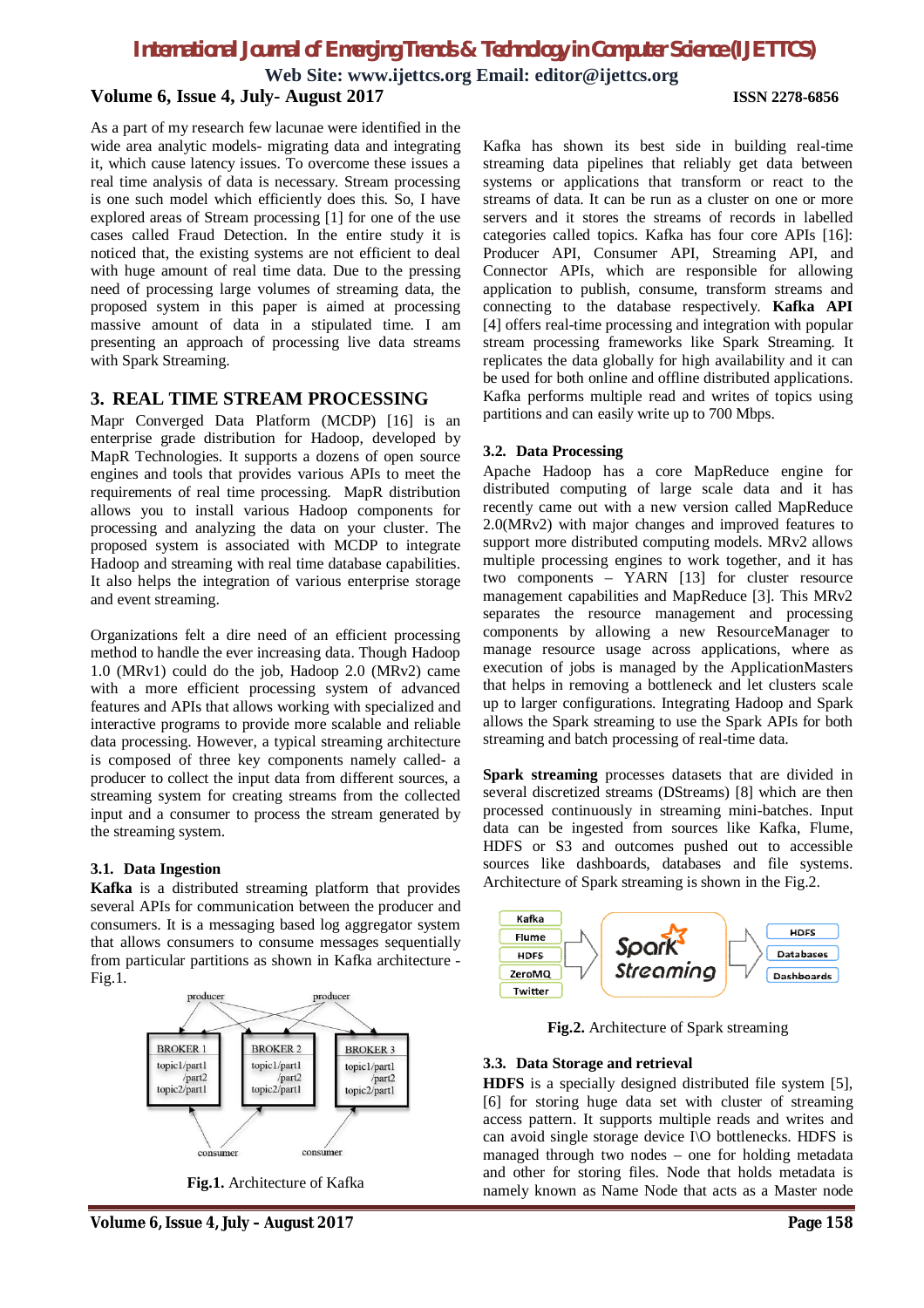**Web Site: www.ijettcs.org Email: editor@ijettcs.org**

## **Volume 6, Issue 4, July- August 2017 ISSN 2278-6856**

As a part of my research few lacunae were identified in the wide area analytic models- migrating data and integrating it, which cause latency issues. To overcome these issues a real time analysis of data is necessary. Stream processing is one such model which efficiently does this. So, I have explored areas of Stream processing [1] for one of the use cases called Fraud Detection. In the entire study it is noticed that, the existing systems are not efficient to deal with huge amount of real time data. Due to the pressing need of processing large volumes of streaming data, the proposed system in this paper is aimed at processing massive amount of data in a stipulated time. I am presenting an approach of processing live data streams with Spark Streaming.

#### **3. REAL TIME STREAM PROCESSING**

Mapr Converged Data Platform (MCDP) [16] is an enterprise grade distribution for Hadoop, developed by MapR Technologies. It supports a dozens of open source engines and tools that provides various APIs to meet the requirements of real time processing. MapR distribution allows you to install various Hadoop components for processing and analyzing the data on your cluster. The proposed system is associated with MCDP to integrate Hadoop and streaming with real time database capabilities. It also helps the integration of various enterprise storage and event streaming.

Organizations felt a dire need of an efficient processing method to handle the ever increasing data. Though Hadoop 1.0 (MRv1) could do the job, Hadoop 2.0 (MRv2) came with a more efficient processing system of advanced features and APIs that allows working with specialized and interactive programs to provide more scalable and reliable data processing. However, a typical streaming architecture is composed of three key components namely called- a producer to collect the input data from different sources, a streaming system for creating streams from the collected input and a consumer to process the stream generated by the streaming system.

#### **3.1. Data Ingestion**

**Kafka** is a distributed streaming platform that provides several APIs for communication between the producer and consumers. It is a messaging based log aggregator system that allows consumers to consume messages sequentially from particular partitions as shown in Kafka architecture - Fig.1.



**Fig.1.** Architecture of Kafka

Kafka has shown its best side in building real-time streaming data pipelines that reliably get data between systems or applications that transform or react to the streams of data. It can be run as a cluster on one or more servers and it stores the streams of records in labelled categories called topics. Kafka has four core APIs [16]: Producer API, Consumer API, Streaming API, and Connector APIs, which are responsible for allowing application to publish, consume, transform streams and connecting to the database respectively. **Kafka API**  [4] offers real-time processing and integration with popular stream processing frameworks like Spark Streaming. It replicates the data globally for high availability and it can be used for both online and offline distributed applications. Kafka performs multiple read and writes of topics using partitions and can easily write up to 700 Mbps.

#### **3.2. Data Processing**

Apache Hadoop has a core MapReduce engine for distributed computing of large scale data and it has recently came out with a new version called MapReduce 2.0(MRv2) with major changes and improved features to support more distributed computing models. MRv2 allows multiple processing engines to work together, and it has two components – YARN [13] for cluster resource management capabilities and MapReduce [3]. This MRv2 separates the resource management and processing components by allowing a new ResourceManager to manage resource usage across applications, where as execution of jobs is managed by the ApplicationMasters that helps in removing a bottleneck and let clusters scale up to larger configurations. Integrating Hadoop and Spark allows the Spark streaming to use the Spark APIs for both streaming and batch processing of real-time data.

**Spark streaming** processes datasets that are divided in several discretized streams (DStreams) [8] which are then processed continuously in streaming mini-batches. Input data can be ingested from sources like Kafka, Flume, HDFS or S3 and outcomes pushed out to accessible sources like dashboards, databases and file systems. Architecture of Spark streaming is shown in the Fig.2.



**Fig.2.** Architecture of Spark streaming

#### **3.3. Data Storage and retrieval**

**HDFS** is a specially designed distributed file system [5], [6] for storing huge data set with cluster of streaming access pattern. It supports multiple reads and writes and can avoid single storage device I\O bottlenecks. HDFS is managed through two nodes – one for holding metadata and other for storing files. Node that holds metadata is namely known as Name Node that acts as a Master node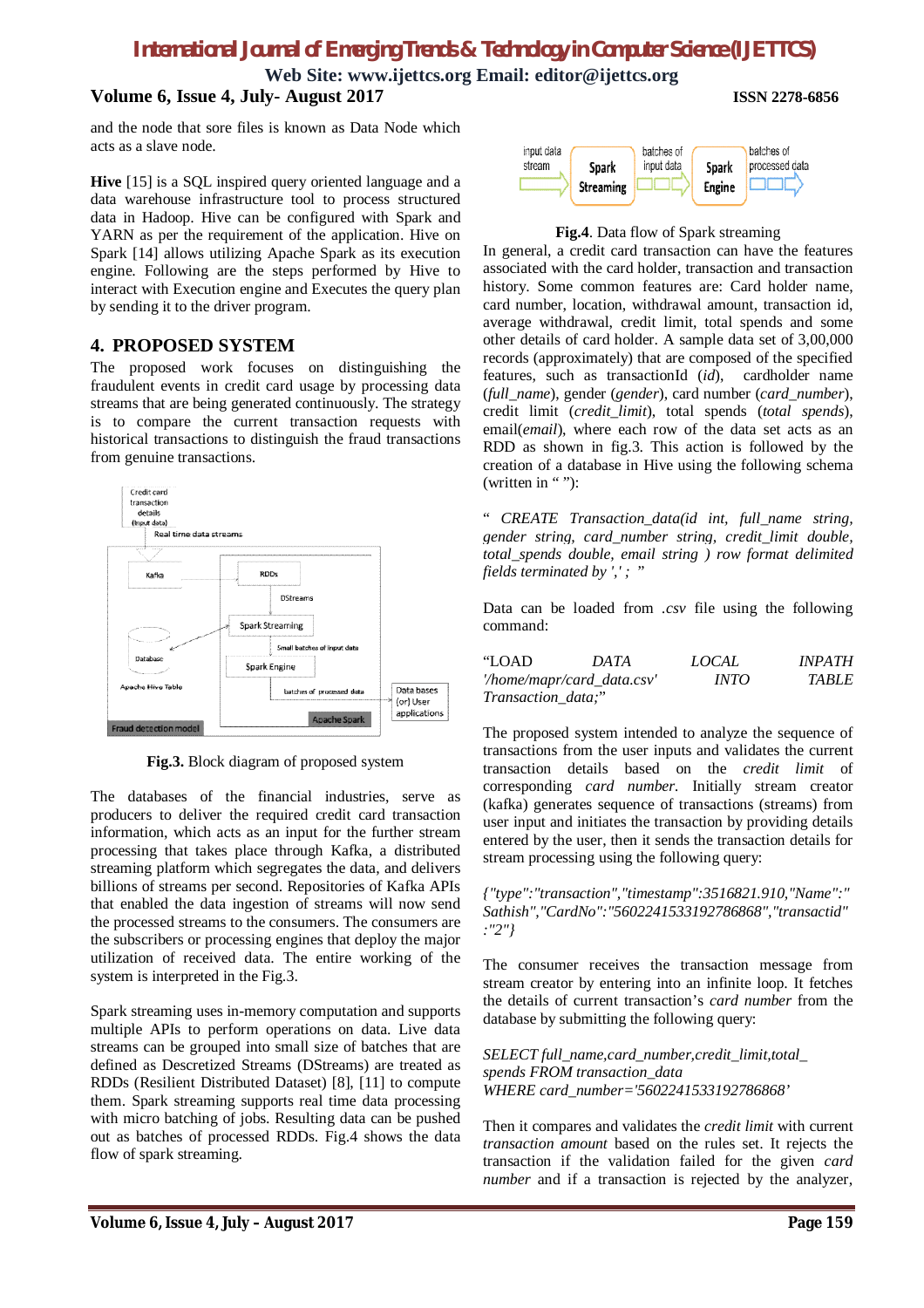**Web Site: www.ijettcs.org Email: editor@ijettcs.org**

# **Volume 6, Issue 4, July- August 2017 ISSN 2278-6856**

and the node that sore files is known as Data Node which acts as a slave node.

**Hive** [15] is a SQL inspired query oriented language and a data warehouse infrastructure tool to process structured data in Hadoop. Hive can be configured with Spark and YARN as per the requirement of the application. Hive on Spark [14] allows utilizing Apache Spark as its execution engine. Following are the steps performed by Hive to interact with Execution engine and Executes the query plan by sending it to the driver program.

# **4. PROPOSED SYSTEM**

The proposed work focuses on distinguishing the fraudulent events in credit card usage by processing data streams that are being generated continuously. The strategy is to compare the current transaction requests with historical transactions to distinguish the fraud transactions from genuine transactions.



**Fig.3.** Block diagram of proposed system

The databases of the financial industries, serve as producers to deliver the required credit card transaction information, which acts as an input for the further stream processing that takes place through Kafka, a distributed streaming platform which segregates the data, and delivers billions of streams per second. Repositories of Kafka APIs that enabled the data ingestion of streams will now send the processed streams to the consumers. The consumers are the subscribers or processing engines that deploy the major utilization of received data. The entire working of the system is interpreted in the Fig.3.

Spark streaming uses in-memory computation and supports multiple APIs to perform operations on data. Live data streams can be grouped into small size of batches that are defined as Descretized Streams (DStreams) are treated as RDDs (Resilient Distributed Dataset) [8], [11] to compute them. Spark streaming supports real time data processing with micro batching of jobs. Resulting data can be pushed out as batches of processed RDDs. Fig.4 shows the data flow of spark streaming.



**Fig.4**. Data flow of Spark streaming

In general, a credit card transaction can have the features associated with the card holder, transaction and transaction history. Some common features are: Card holder name, card number, location, withdrawal amount, transaction id, average withdrawal, credit limit, total spends and some other details of card holder. A sample data set of 3,00,000 records (approximately) that are composed of the specified features, such as transactionId (*id*), cardholder name (*full\_name*), gender (*gender*), card number (*card\_number*), credit limit (*credit\_limit*), total spends (*total spends*), email(*email*), where each row of the data set acts as an RDD as shown in fig.3. This action is followed by the creation of a database in Hive using the following schema (written in ""):

" *CREATE Transaction\_data(id int, full\_name string, gender string, card\_number string, credit\_limit double, total\_spends double, email string ) row format delimited fields terminated by ',' ;* "

Data can be loaded from *.csv* file using the following command:

| "LOAD"                     | DATA. | <i>LOCAL</i> | <i><b>INPATH</b></i> |
|----------------------------|-------|--------------|----------------------|
| '/home/mapr/card data.csv' |       | <i>INTO</i>  | <i>TABLE</i>         |
| <i>Transaction data:</i> " |       |              |                      |

The proposed system intended to analyze the sequence of transactions from the user inputs and validates the current transaction details based on the *credit limit* of corresponding *card number.* Initially stream creator (kafka) generates sequence of transactions (streams) from user input and initiates the transaction by providing details entered by the user, then it sends the transaction details for stream processing using the following query:

*{"type":"transaction","timestamp":3516821.910,"Name":" Sathish","CardNo":"5602241533192786868","transactid" :"2"}*

The consumer receives the transaction message from stream creator by entering into an infinite loop. It fetches the details of current transaction's *card number* from the database by submitting the following query:

*SELECT full\_name,card\_number,credit\_limit,total\_ spends FROM transaction\_data WHERE card\_number='5602241533192786868'*

Then it compares and validates the *credit limit* with current *transaction amount* based on the rules set. It rejects the transaction if the validation failed for the given *card number* and if a transaction is rejected by the analyzer,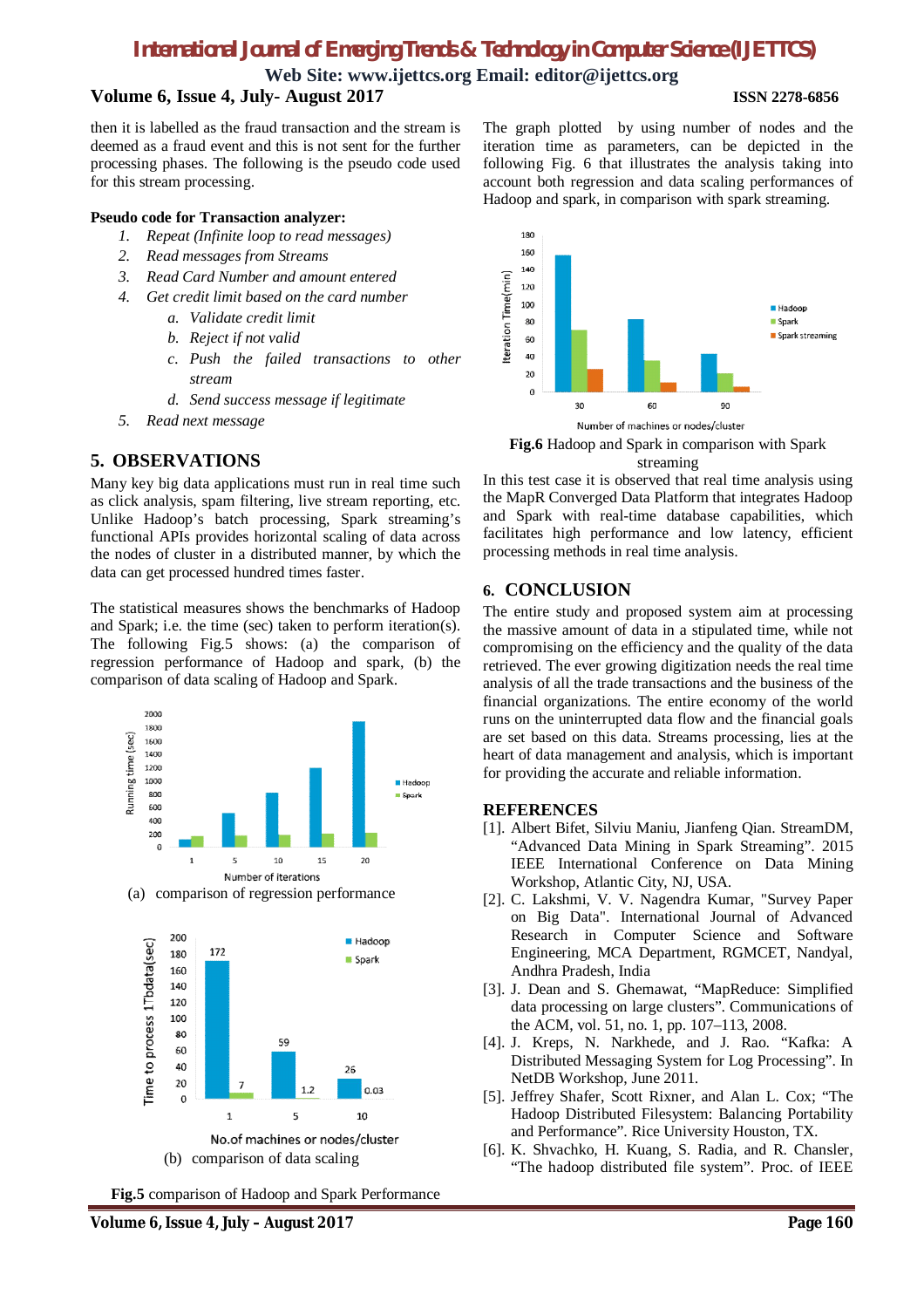**Web Site: www.ijettcs.org Email: editor@ijettcs.org**

## **Volume 6, Issue 4, July- August 2017 ISSN 2278-6856**

then it is labelled as the fraud transaction and the stream is deemed as a fraud event and this is not sent for the further processing phases. The following is the pseudo code used for this stream processing.

#### **Pseudo code for Transaction analyzer:**

- *1. Repeat (Infinite loop to read messages)*
- *2. Read messages from Streams*
- *3. Read Card Number and amount entered*
- *4. Get credit limit based on the card number*
	- *a. Validate credit limit*
		- *b. Reject if not valid*
		- *c. Push the failed transactions to other stream*
		- *d. Send success message if legitimate*
- *5. Read next message*

## **5. OBSERVATIONS**

Many key big data applications must run in real time such as click analysis, spam filtering, live stream reporting, etc. Unlike Hadoop's batch processing, Spark streaming's functional APIs provides horizontal scaling of data across the nodes of cluster in a distributed manner, by which the data can get processed hundred times faster.

The statistical measures shows the benchmarks of Hadoop and Spark; i.e. the time (sec) taken to perform iteration(s). The following Fig.5 shows: (a) the comparison of regression performance of Hadoop and spark, (b) the comparison of data scaling of Hadoop and Spark.



**Fig.5** comparison of Hadoop and Spark Performance

The graph plotted by using number of nodes and the iteration time as parameters, can be depicted in the following Fig. 6 that illustrates the analysis taking into account both regression and data scaling performances of Hadoop and spark, in comparison with spark streaming.



**Fig.6** Hadoop and Spark in comparison with Spark

streaming

In this test case it is observed that real time analysis using the MapR Converged Data Platform that integrates Hadoop and Spark with real-time database capabilities, which facilitates high performance and low latency, efficient processing methods in real time analysis.

#### **6. CONCLUSION**

The entire study and proposed system aim at processing the massive amount of data in a stipulated time, while not compromising on the efficiency and the quality of the data retrieved. The ever growing digitization needs the real time analysis of all the trade transactions and the business of the financial organizations. The entire economy of the world runs on the uninterrupted data flow and the financial goals are set based on this data. Streams processing, lies at the heart of data management and analysis, which is important for providing the accurate and reliable information.

#### **REFERENCES**

- [1]. Albert Bifet, Silviu Maniu, Jianfeng Qian. StreamDM, "Advanced Data Mining in Spark Streaming". 2015 IEEE International Conference on Data Mining Workshop, Atlantic City, NJ, USA.
- [2]. C. Lakshmi, V. V. Nagendra Kumar, "Survey Paper on Big Data". International Journal of Advanced Research in Computer Science and Software Engineering, MCA Department, RGMCET, Nandyal, Andhra Pradesh, India
- [3]. J. Dean and S. Ghemawat, "MapReduce: Simplified data processing on large clusters". Communications of the ACM, vol. 51, no. 1, pp. 107–113, 2008.
- [4]. J. Kreps, N. Narkhede, and J. Rao. "Kafka: A Distributed Messaging System for Log Processing". In NetDB Workshop, June 2011.
- [5]. Jeffrey Shafer, Scott Rixner, and Alan L. Cox; "The Hadoop Distributed Filesystem: Balancing Portability and Performance". Rice University Houston, TX.
- [6]. K. Shvachko, H. Kuang, S. Radia, and R. Chansler, "The hadoop distributed file system". Proc. of IEEE